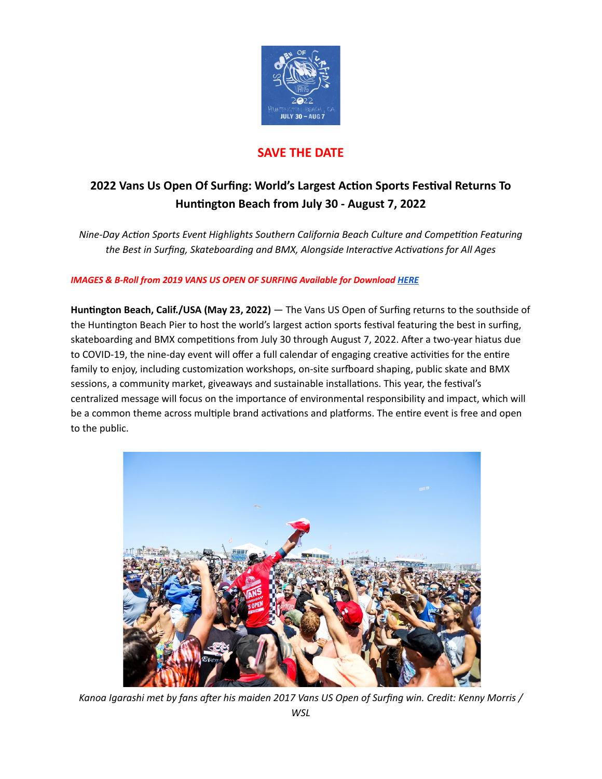

## **SAVE THE DATE**

# **2022 Vans Us Open Of Surfing: World's Largest Acon Sports Fesval Returns To Hunngton Beach from July 30 - August 7, 2022**

*Nine-Day Action Sports Event Highlights Southern California Beach Culture and Competition Featuring the* Best in Surfing, Skateboarding and BMX, Alongside Interactive Activations for All Ages

### *IMAGES & B-Roll from 2019 VANS US OPEN OF SURFING Available for Download [HERE](https://www.vansusopenofsurfing.com/2019/media-downloads/photos)*

**Hunngton Beach, Calif./USA (May 23, 2022)** — The Vans US Open of Surfing returns to the southside of the Huntington Beach Pier to host the world's largest action sports festival featuring the best in surfing, skateboarding and BMX competitions from July 30 through August 7, 2022. After a two-year hiatus due to COVID-19, the nine-day event will offer a full calendar of engaging creative activities for the entire family to enjoy, including customization workshops, on-site surfboard shaping, public skate and BMX sessions, a community market, giveaways and sustainable installations. This year, the festival's centralized message will focus on the importance of environmental responsibility and impact, which will be a common theme across multiple brand activations and platforms. The entire event is free and open to the public.



*Kanoa Igarashi met by fans aer his maiden 2017 Vans US Open of Surfing win. Credit: Kenny Morris / WSL*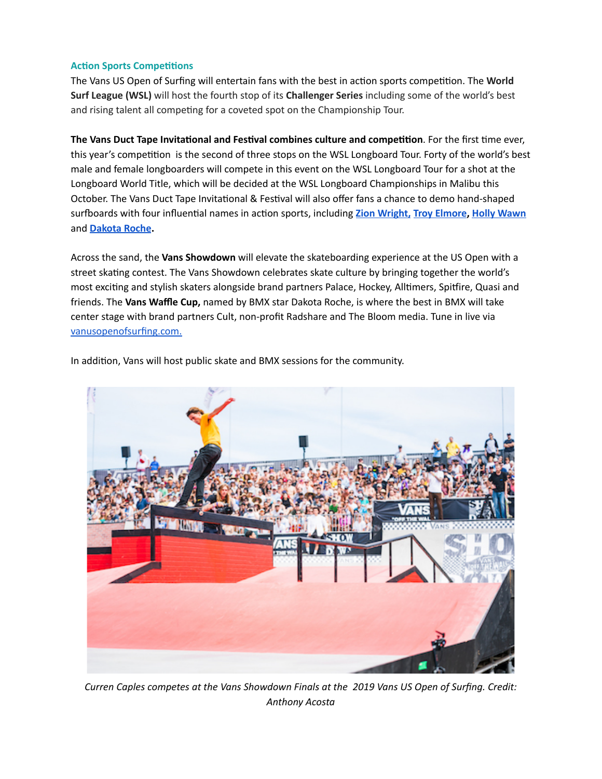#### **Action Sports Competitions**

The Vans US Open of Surfing will entertain fans with the best in action sports competition. The World **Surf League (WSL)** will host the fourth stop of its **Challenger Series** including some of the world's best and rising talent all competing for a coveted spot on the Championship Tour.

**The Vans Duct Tape Invitational and Festival combines culture and competition. For the first time ever,** this year's competition is the second of three stops on the WSL Longboard Tour. Forty of the world's best male and female longboarders will compete in this event on the WSL Longboard Tour for a shot at the Longboard World Title, which will be decided at the WSL Longboard Championships in Malibu this October. The Vans Duct Tape Invitational & Festival will also offer fans a chance to demo hand-shaped surfboards with four influential names in action sports, including **Zion [Wright,](https://www.instagram.com/zionwright/) Troy [Elmore,](https://www.instagram.com/troyelmore/) Holly [Wawn](https://www.instagram.com/hollywawn/)** and **[Dakota](https://www.instagram.com/dakroche/) Roche.**

Across the sand, the **Vans Showdown** will elevate the skateboarding experience at the US Open with a street skating contest. The Vans Showdown celebrates skate culture by bringing together the world's most exciting and stylish skaters alongside brand partners Palace, Hockey, Alltimers, Spitfire, Quasi and friends. The **Vans Waffle Cup,** named by BMX star Dakota Roche, is where the best in BMX will take center stage with brand partners Cult, non-profit Radshare and The Bloom media. Tune in live via [vanusopenofsurfing.com.](https://www.vansusopenofsurfing.com/)



In addition, Vans will host public skate and BMX sessions for the community.

*Curren Caples competes at the Vans Showdown Finals at the 2019 Vans US Open of Surfing. Credit: Anthony Acosta*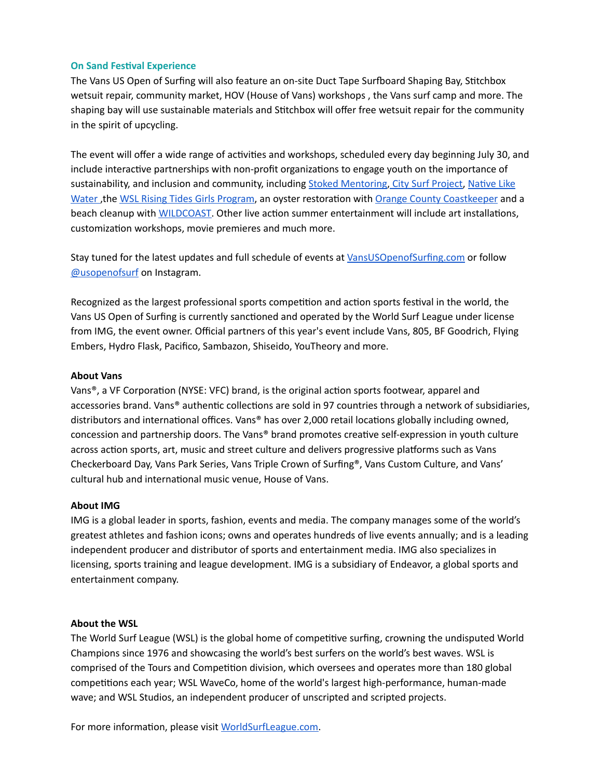#### **On Sand Festival Experience**

The Vans US Open of Surfing will also feature an on-site Duct Tape Surfboard Shaping Bay, Stitchbox wetsuit repair, community market, HOV (House of Vans) workshops , the Vans surf camp and more. The shaping bay will use sustainable materials and Stitchbox will offer free wetsuit repair for the community in the spirit of upcycling.

The event will offer a wide range of activities and workshops, scheduled every day beginning July 30, and include interactive partnerships with non-profit organizations to engage youth on the importance of sustainability, and inclusion and community, including Stoked [Mentoring,](https://www.stoked.org/) City [Surf Project,](https://www.citysurfproject.com/) Native Like [Water](https://www.nativelikewater.org/) , the WSL Rising Tides Girls [Program,](https://www.worldsurfleague.com/watch/415683/rising-tides) an oyster restoration with Orange County [Coastkeeper](https://www.coastkeeper.org/restoration/olympia-oyster/) and a beach cleanup with **[WILDCOAST](https://wildcoast.org/)**. Other live action summer entertainment will include art installations, customization workshops, movie premieres and much more.

Stay tuned for the latest updates and full schedule of events at [VansUSOpenofSurfing.com](http://vansusopenofsurfing.com/) or follow [@usopenofsurf](https://www.instagram.com/usopenofsurf/?hl=en) on Instagram.

Recognized as the largest professional sports competition and action sports festival in the world, the Vans US Open of Surfing is currently sanctioned and operated by the World Surf League under license from IMG, the event owner. Official partners of this year's event include Vans, 805, BF Goodrich, Flying Embers, Hydro Flask, Pacifico, Sambazon, Shiseido, YouTheory and more.

#### **About Vans**

Vans®, a VF Corporation (NYSE: VFC) brand, is the original action sports footwear, apparel and accessories brand. Vans® authentic collections are sold in 97 countries through a network of subsidiaries, distributors and international offices. Vans® has over 2,000 retail locations globally including owned, concession and partnership doors. The Vans® brand promotes creative self-expression in youth culture across action sports, art, music and street culture and delivers progressive platforms such as Vans Checkerboard Day, Vans Park Series, Vans Triple Crown of Surfing®, Vans Custom Culture, and Vans' cultural hub and international music venue, House of Vans.

#### **About IMG**

IMG is a global leader in sports, fashion, events and media. The company manages some of the world's greatest athletes and fashion icons; owns and operates hundreds of live events annually; and is a leading independent producer and distributor of sports and entertainment media. IMG also specializes in licensing, sports training and league development. IMG is a subsidiary of Endeavor, a global sports and entertainment company.

#### **About the WSL**

The World Surf League (WSL) is the global home of competitive surfing, crowning the undisputed World Champions since 1976 and showcasing the world's best surfers on the world's best waves. WSL is comprised of the Tours and Competition division, which oversees and operates more than 180 global competitions each year; WSL WaveCo, home of the world's largest high-performance, human-made wave; and WSL Studios, an independent producer of unscripted and scripted projects.

For more information, please visit [WorldSurfLeague.com.](http://worldsurfleague.com/)